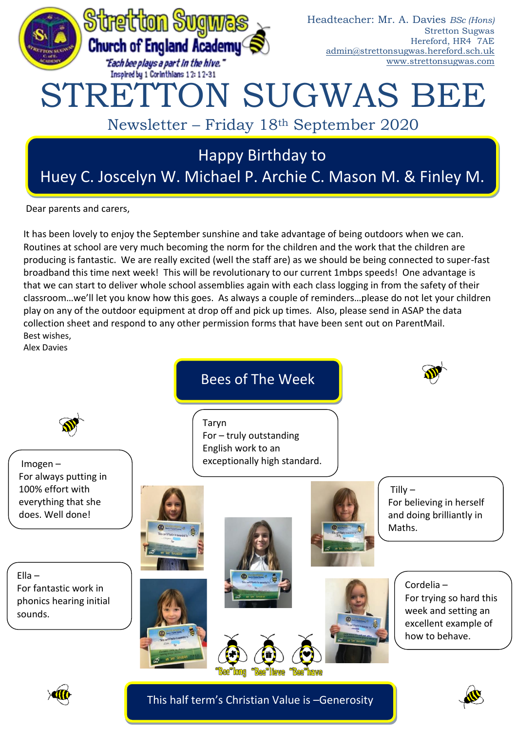

Dear parents and carers,

It has been lovely to enjoy the September sunshine and take advantage of being outdoors when we can. Routines at school are very much becoming the norm for the children and the work that the children are producing is fantastic. We are really excited (well the staff are) as we should be being connected to super-fast broadband this time next week! This will be revolutionary to our current 1mbps speeds! One advantage is that we can start to deliver whole school assemblies again with each class logging in from the safety of their classroom…we'll let you know how this goes. As always a couple of reminders…please do not let your children play on any of the outdoor equipment at drop off and pick up times. Also, please send in ASAP the data collection sheet and respond to any other permission forms that have been sent out on ParentMail. Best wishes,

Alex Davies





This half term's Christian Value is –Generosity